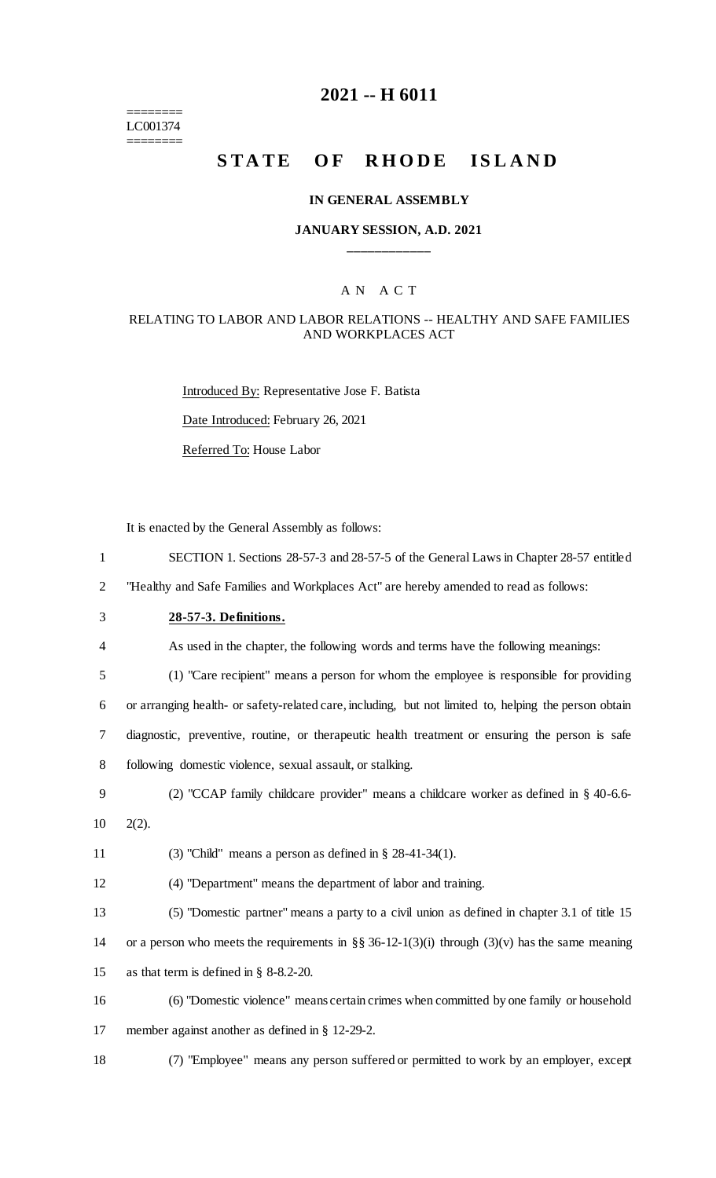======== LC001374

========

## **2021 -- H 6011**

# **STATE OF RHODE ISLAND**

## **IN GENERAL ASSEMBLY**

## **JANUARY SESSION, A.D. 2021 \_\_\_\_\_\_\_\_\_\_\_\_**

## A N A C T

#### RELATING TO LABOR AND LABOR RELATIONS -- HEALTHY AND SAFE FAMILIES AND WORKPLACES ACT

Introduced By: Representative Jose F. Batista Date Introduced: February 26, 2021 Referred To: House Labor

It is enacted by the General Assembly as follows:

| $\mathbf{1}$   | SECTION 1. Sections 28-57-3 and 28-57-5 of the General Laws in Chapter 28-57 entitled                 |
|----------------|-------------------------------------------------------------------------------------------------------|
| $\overline{2}$ | "Healthy and Safe Families and Workplaces Act" are hereby amended to read as follows:                 |
| 3              | 28-57-3. Definitions.                                                                                 |
| 4              | As used in the chapter, the following words and terms have the following meanings:                    |
| 5              | (1) "Care recipient" means a person for whom the employee is responsible for providing                |
| 6              | or arranging health- or safety-related care, including, but not limited to, helping the person obtain |
| 7              | diagnostic, preventive, routine, or therapeutic health treatment or ensuring the person is safe       |
| 8              | following domestic violence, sexual assault, or stalking.                                             |
| 9              | (2) "CCAP family childcare provider" means a childcare worker as defined in $\S$ 40-6.6-              |
| 10             | $2(2)$ .                                                                                              |
| 11             | (3) "Child" means a person as defined in $\S$ 28-41-34(1).                                            |
| 12             | (4) "Department" means the department of labor and training.                                          |
| 13             | (5) "Domestic partner" means a party to a civil union as defined in chapter 3.1 of title 15           |
| 14             | or a person who meets the requirements in §§ 36-12-1(3)(i) through (3)(v) has the same meaning        |
| 15             | as that term is defined in $\S$ 8-8.2-20.                                                             |
| 16             | (6) "Domestic violence" means certain crimes when committed by one family or household                |
| 17             | member against another as defined in § 12-29-2.                                                       |
| 18             | (7) "Employee" means any person suffered or permitted to work by an employer, except                  |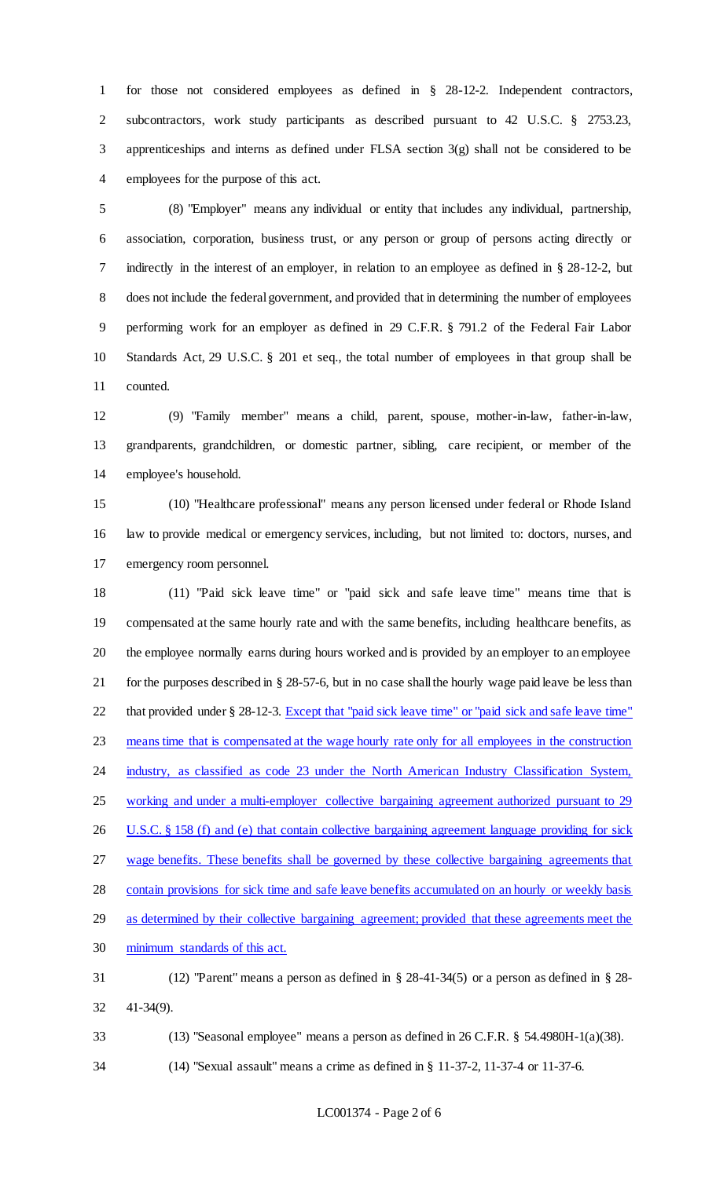for those not considered employees as defined in § 28-12-2. Independent contractors, subcontractors, work study participants as described pursuant to 42 U.S.C. § 2753.23, apprenticeships and interns as defined under FLSA section 3(g) shall not be considered to be employees for the purpose of this act.

 (8) "Employer" means any individual or entity that includes any individual, partnership, association, corporation, business trust, or any person or group of persons acting directly or indirectly in the interest of an employer, in relation to an employee as defined in § 28-12-2, but does not include the federal government, and provided that in determining the number of employees performing work for an employer as defined in 29 C.F.R. § 791.2 of the Federal Fair Labor Standards Act, 29 U.S.C. § 201 et seq., the total number of employees in that group shall be counted.

 (9) "Family member" means a child, parent, spouse, mother-in-law, father-in-law, grandparents, grandchildren, or domestic partner, sibling, care recipient, or member of the employee's household.

 (10) "Healthcare professional" means any person licensed under federal or Rhode Island law to provide medical or emergency services, including, but not limited to: doctors, nurses, and emergency room personnel.

 (11) "Paid sick leave time" or "paid sick and safe leave time" means time that is compensated at the same hourly rate and with the same benefits, including healthcare benefits, as the employee normally earns during hours worked and is provided by an employer to an employee for the purposes described in § 28-57-6, but in no case shall the hourly wage paid leave be less than that provided under § 28-12-3. Except that "paid sick leave time" or "paid sick and safe leave time" means time that is compensated at the wage hourly rate only for all employees in the construction 24 industry, as classified as code 23 under the North American Industry Classification System, working and under a multi-employer collective bargaining agreement authorized pursuant to 29 26 U.S.C. § 158 (f) and (e) that contain collective bargaining agreement language providing for sick wage benefits. These benefits shall be governed by these collective bargaining agreements that contain provisions for sick time and safe leave benefits accumulated on an hourly or weekly basis as determined by their collective bargaining agreement; provided that these agreements meet the minimum standards of this act. (12) "Parent" means a person as defined in § 28-41-34(5) or a person as defined in § 28- 41-34(9).

(13) "Seasonal employee" means a person as defined in 26 C.F.R. § 54.4980H-1(a)(38).

(14) "Sexual assault" means a crime as defined in § 11-37-2, 11-37-4 or 11-37-6.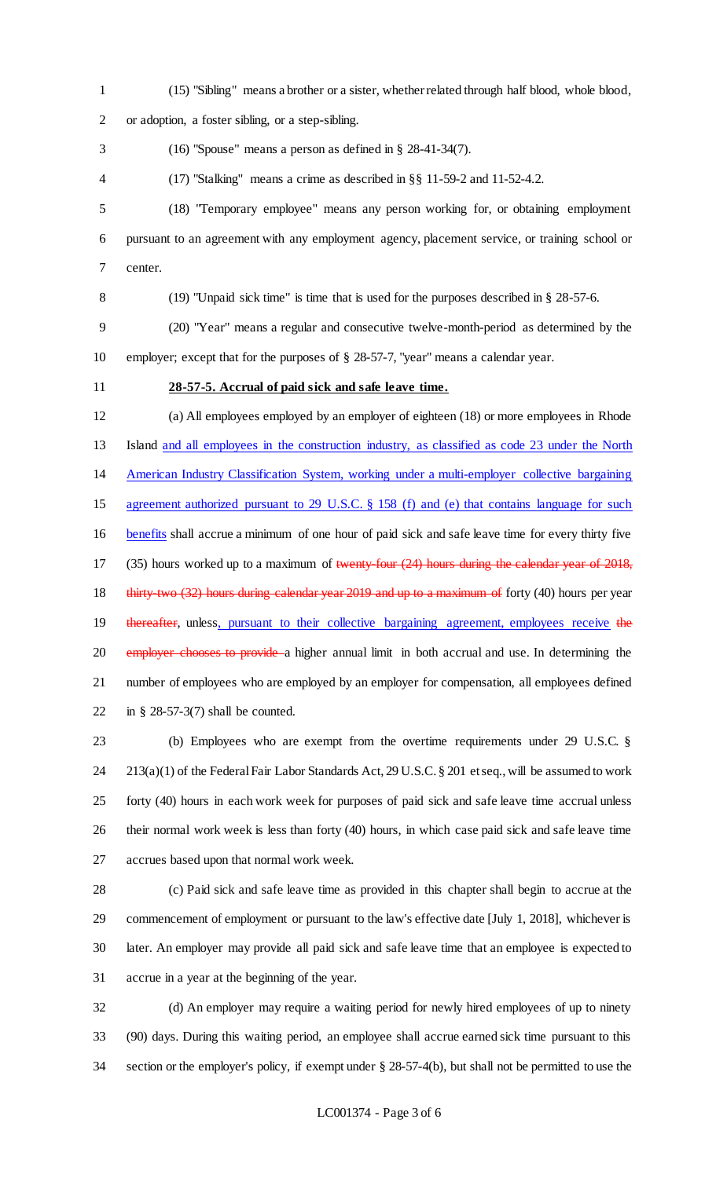(15) "Sibling" means a brother or a sister, whether related through half blood, whole blood, or adoption, a foster sibling, or a step-sibling. (16) "Spouse" means a person as defined in § 28-41-34(7). (17) "Stalking" means a crime as described in §§ 11-59-2 and 11-52-4.2. (18) "Temporary employee" means any person working for, or obtaining employment pursuant to an agreement with any employment agency, placement service, or training school or center. (19) "Unpaid sick time" is time that is used for the purposes described in § 28-57-6. (20) "Year" means a regular and consecutive twelve-month-period as determined by the employer; except that for the purposes of § 28-57-7, "year" means a calendar year. **28-57-5. Accrual of paid sick and safe leave time.** (a) All employees employed by an employer of eighteen (18) or more employees in Rhode Island and all employees in the construction industry, as classified as code 23 under the North American Industry Classification System, working under a multi-employer collective bargaining agreement authorized pursuant to 29 U.S.C. § 158 (f) and (e) that contains language for such benefits shall accrue a minimum of one hour of paid sick and safe leave time for every thirty five 17 (35) hours worked up to a maximum of twenty-four (24) hours during the calendar year of 2018, 18 thirty-two (32) hours during calendar year 2019 and up to a maximum of forty (40) hours per year 19 thereafter, unless, pursuant to their collective bargaining agreement, employees receive the 20 employer chooses to provide a higher annual limit in both accrual and use. In determining the number of employees who are employed by an employer for compensation, all employees defined in § 28-57-3(7) shall be counted.

 (b) Employees who are exempt from the overtime requirements under 29 U.S.C. § 213(a)(1) of the Federal Fair Labor Standards Act, 29 U.S.C. § 201 et seq., will be assumed to work forty (40) hours in each work week for purposes of paid sick and safe leave time accrual unless their normal work week is less than forty (40) hours, in which case paid sick and safe leave time accrues based upon that normal work week.

 (c) Paid sick and safe leave time as provided in this chapter shall begin to accrue at the commencement of employment or pursuant to the law's effective date [July 1, 2018], whichever is later. An employer may provide all paid sick and safe leave time that an employee is expected to accrue in a year at the beginning of the year.

 (d) An employer may require a waiting period for newly hired employees of up to ninety (90) days. During this waiting period, an employee shall accrue earned sick time pursuant to this section or the employer's policy, if exempt under § 28-57-4(b), but shall not be permitted to use the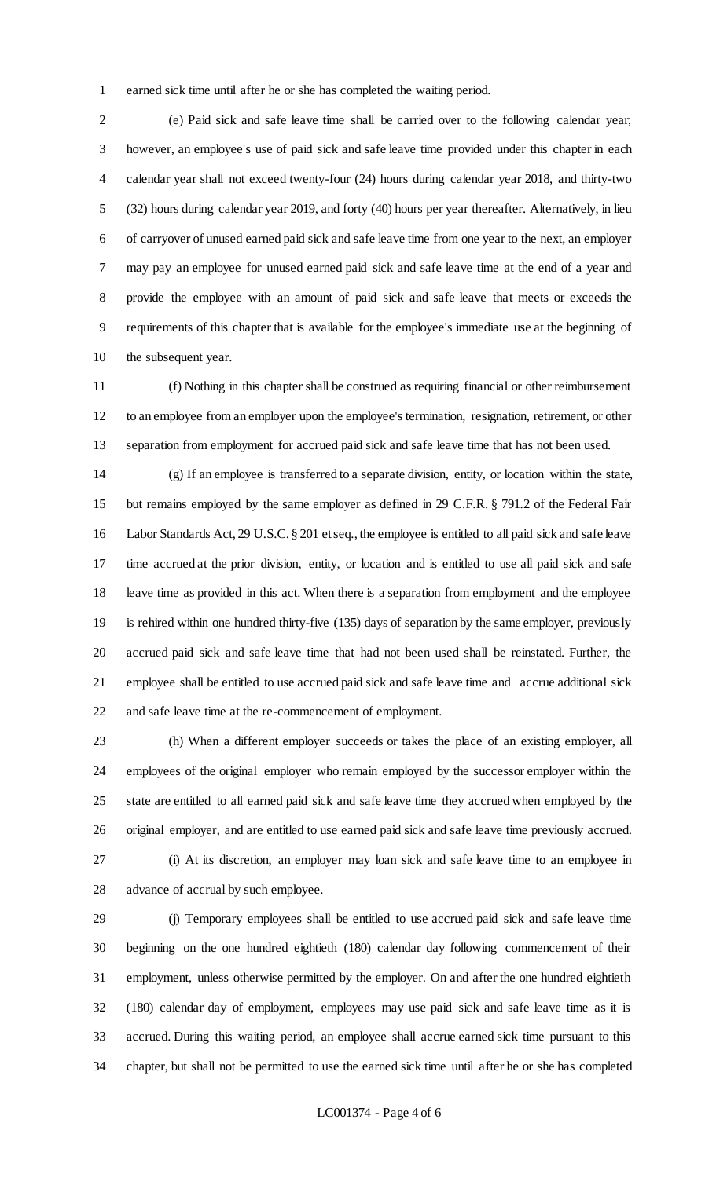earned sick time until after he or she has completed the waiting period.

 (e) Paid sick and safe leave time shall be carried over to the following calendar year; however, an employee's use of paid sick and safe leave time provided under this chapter in each calendar year shall not exceed twenty-four (24) hours during calendar year 2018, and thirty-two (32) hours during calendar year 2019, and forty (40) hours per year thereafter. Alternatively, in lieu of carryover of unused earned paid sick and safe leave time from one year to the next, an employer may pay an employee for unused earned paid sick and safe leave time at the end of a year and provide the employee with an amount of paid sick and safe leave that meets or exceeds the requirements of this chapter that is available for the employee's immediate use at the beginning of the subsequent year.

 (f) Nothing in this chapter shall be construed as requiring financial or other reimbursement to an employee from an employer upon the employee's termination, resignation, retirement, or other separation from employment for accrued paid sick and safe leave time that has not been used.

 (g) If an employee is transferred to a separate division, entity, or location within the state, but remains employed by the same employer as defined in 29 C.F.R. § 791.2 of the Federal Fair Labor Standards Act, 29 U.S.C. § 201 et seq., the employee is entitled to all paid sick and safe leave time accrued at the prior division, entity, or location and is entitled to use all paid sick and safe leave time as provided in this act. When there is a separation from employment and the employee is rehired within one hundred thirty-five (135) days of separation by the same employer, previously accrued paid sick and safe leave time that had not been used shall be reinstated. Further, the employee shall be entitled to use accrued paid sick and safe leave time and accrue additional sick and safe leave time at the re-commencement of employment.

 (h) When a different employer succeeds or takes the place of an existing employer, all employees of the original employer who remain employed by the successor employer within the state are entitled to all earned paid sick and safe leave time they accrued when employed by the original employer, and are entitled to use earned paid sick and safe leave time previously accrued. (i) At its discretion, an employer may loan sick and safe leave time to an employee in advance of accrual by such employee.

 (j) Temporary employees shall be entitled to use accrued paid sick and safe leave time beginning on the one hundred eightieth (180) calendar day following commencement of their employment, unless otherwise permitted by the employer. On and after the one hundred eightieth (180) calendar day of employment, employees may use paid sick and safe leave time as it is accrued. During this waiting period, an employee shall accrue earned sick time pursuant to this chapter, but shall not be permitted to use the earned sick time until after he or she has completed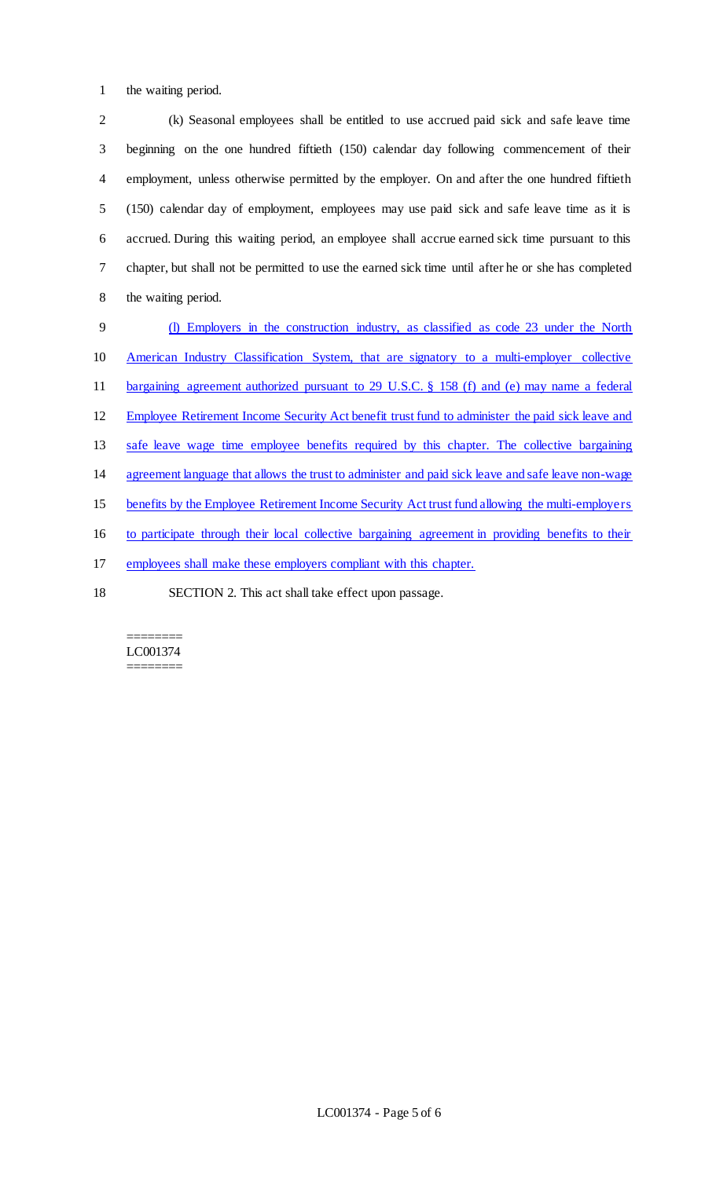the waiting period.

 (k) Seasonal employees shall be entitled to use accrued paid sick and safe leave time beginning on the one hundred fiftieth (150) calendar day following commencement of their employment, unless otherwise permitted by the employer. On and after the one hundred fiftieth (150) calendar day of employment, employees may use paid sick and safe leave time as it is accrued. During this waiting period, an employee shall accrue earned sick time pursuant to this chapter, but shall not be permitted to use the earned sick time until after he or she has completed the waiting period.

 (l) Employers in the construction industry, as classified as code 23 under the North American Industry Classification System, that are signatory to a multi-employer collective bargaining agreement authorized pursuant to 29 U.S.C. § 158 (f) and (e) may name a federal Employee Retirement Income Security Act benefit trust fund to administer the paid sick leave and 13 safe leave wage time employee benefits required by this chapter. The collective bargaining agreement language that allows the trust to administer and paid sick leave and safe leave non-wage benefits by the Employee Retirement Income Security Act trust fund allowing the multi-employers to participate through their local collective bargaining agreement in providing benefits to their employees shall make these employers compliant with this chapter. SECTION 2. This act shall take effect upon passage.

#### ======== LC001374 ========